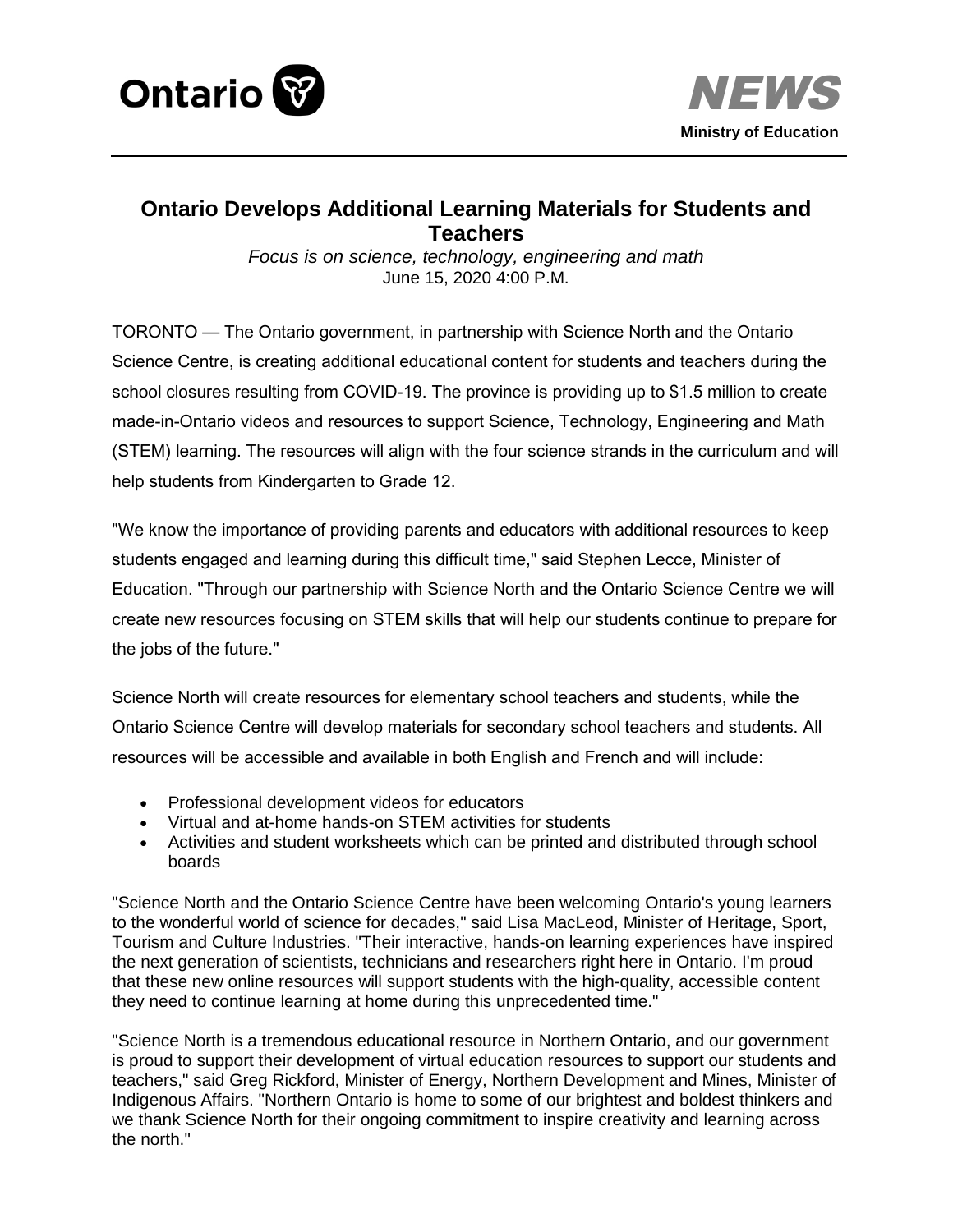



## **Ontario Develops Additional Learning Materials for Students and Teachers**

*Focus is on science, technology, engineering and math*  June 15, 2020 4:00 P.M.

TORONTO — The Ontario government, in partnership with Science North and the Ontario Science Centre, is creating additional educational content for students and teachers during the school closures resulting from COVID-19. The province is providing up to \$1.5 million to create made-in-Ontario videos and resources to support Science, Technology, Engineering and Math (STEM) learning. The resources will align with the four science strands in the curriculum and will help students from Kindergarten to Grade 12.

"We know the importance of providing parents and educators with additional resources to keep students engaged and learning during this difficult time," said Stephen Lecce, Minister of Education. "Through our partnership with Science North and the Ontario Science Centre we will create new resources focusing on STEM skills that will help our students continue to prepare for the jobs of the future."

Science North will create resources for elementary school teachers and students, while the Ontario Science Centre will develop materials for secondary school teachers and students. All resources will be accessible and available in both English and French and will include:

- Professional development videos for educators
- Virtual and at-home hands-on STEM activities for students
- Activities and student worksheets which can be printed and distributed through school boards

"Science North and the Ontario Science Centre have been welcoming Ontario's young learners to the wonderful world of science for decades," said Lisa MacLeod, Minister of Heritage, Sport, Tourism and Culture Industries. "Their interactive, hands-on learning experiences have inspired the next generation of scientists, technicians and researchers right here in Ontario. I'm proud that these new online resources will support students with the high-quality, accessible content they need to continue learning at home during this unprecedented time."

"Science North is a tremendous educational resource in Northern Ontario, and our government is proud to support their development of virtual education resources to support our students and teachers," said Greg Rickford, Minister of Energy, Northern Development and Mines, Minister of Indigenous Affairs. "Northern Ontario is home to some of our brightest and boldest thinkers and we thank Science North for their ongoing commitment to inspire creativity and learning across the north."